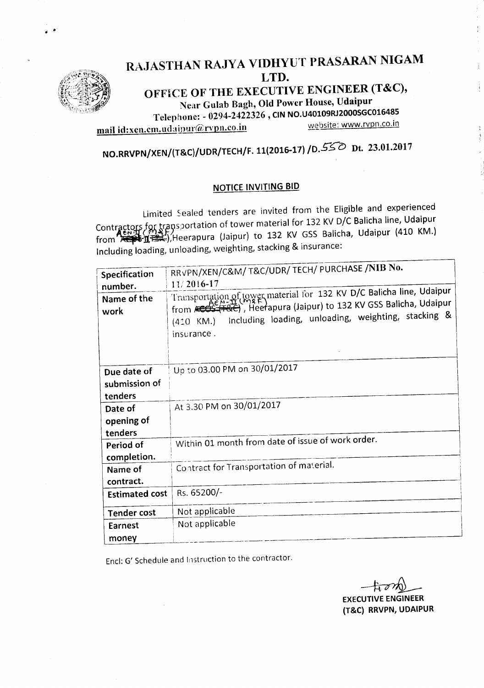

RAJASTHAN RAJYA VIDHYUT PRASARAN NIGAM LTD.

OFFICE OF THE EXECUTIVE ENGINEER (T&C), Near Gulab Bagh, Old Power House, Udaipur

Telephone: - 0294-2422326, CIN NO.U40109RJ2000SGC016485<br>m udainur@rynn.co.in website: www.rypn.co.in

mail id:xen.cm.udaipur@rvpn.co.in

# NO.RRVPN/XEN/(T&C)/UOR/TECH/F.11(2016-17) *10.5'S-0* Dt. 23.01.2017

#### NOTICE INVITING BID

Limited Sealed tenders are invited from the Eligible and experienced Contractors for transportation of tower material for 132 KV D/C Balicha line, Udaipur from  $\frac{1}{2}$   $\frac{1}{2}$   $\frac{1}{2}$ , Heerapura (Jaipur) to 132 KV GSS Balicha, Udaipur (410 KM.) Including loading, unloading, weighting, stacking & insurance:

|                       | RRVPN/XEN/C&M/ T&C/UDR/ TECH/ PURCHASE /NIB No.                                                                                                                                                                                                    |
|-----------------------|----------------------------------------------------------------------------------------------------------------------------------------------------------------------------------------------------------------------------------------------------|
| Specification         |                                                                                                                                                                                                                                                    |
| number.               | 11/2016-17                                                                                                                                                                                                                                         |
| Name of the<br>work   | Transportation of tower material for 132 KV D/C Balicha line, Udaipur<br>from <del>ACCS (T&amp;C)</del> , Heerapura (Jaipur) to 132 KV GSS Balicha, Udaipur<br>Including loading, unloading, weighting, stacking &<br>$(420 \; KM.)$<br>insurance. |
| Due date of           | Up to 03.00 PM on 30/01/2017                                                                                                                                                                                                                       |
| submission of         |                                                                                                                                                                                                                                                    |
| tenders               |                                                                                                                                                                                                                                                    |
| Date of               | At 3.30 PM on 30/01/2017                                                                                                                                                                                                                           |
| opening of            |                                                                                                                                                                                                                                                    |
| tenders               |                                                                                                                                                                                                                                                    |
| Period of             | Within 01 month from date of issue of work order.                                                                                                                                                                                                  |
| completion.           |                                                                                                                                                                                                                                                    |
| Name of               | Contract for Transportation of material.                                                                                                                                                                                                           |
| contract.             |                                                                                                                                                                                                                                                    |
| <b>Estimated cost</b> | Rs. 65200/-                                                                                                                                                                                                                                        |
| <b>Tender cost</b>    | Not applicable                                                                                                                                                                                                                                     |
| Earnest               | Not applicable                                                                                                                                                                                                                                     |
| money                 |                                                                                                                                                                                                                                                    |

End: G' Scheduleand instruction to the contractor.

~ EXECUTIVE ENGINEER (T&C) RRVPN, UDAIPUR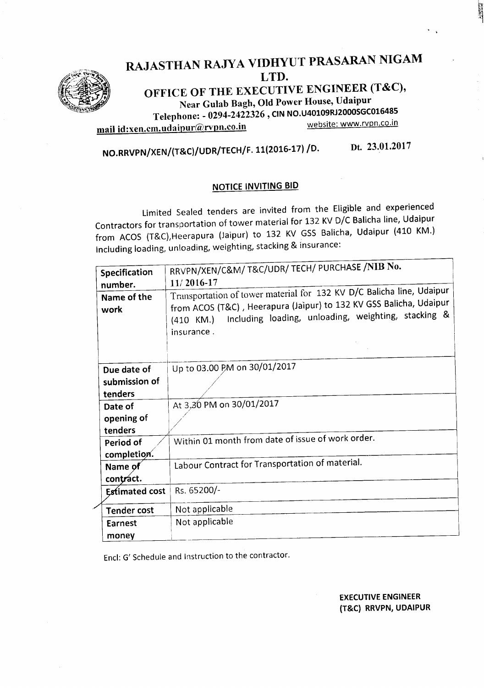

RAJASTHAN RAJYA VIDHYUT PRASARAN NIGAM **• LTD.**<br>• OFFICE OF THE EXECUTIVE ENGINEER (T&C),<br>Near Gulab Bagh, Old Power House, Udaipur

Telephone: - 0294-2422326, CIN NO.U40109RJ2000SGC016485<br>m udainur@rynn.co.in website: www.rypn.co.in

mail id:xen.cm.udaipur@rvpn.co.in

NO.RRVPN/XEN/(T&C)/UDR/TECH/F. 11(2016-17) /0. Dt. 23.01.2017

### NOTICE INVITING BID

Limited Sealed tenders are invited from the Eligible and experienced Contractors for transportation of tower material for 132 KV D/C Balicha line, Udaipur from ACOS (T&C},Heerapura (Jaipur) to 132 KV GSS Balicha, Udaipur (410 KM.) Including loading, unloading, weighting, stacking & insurance:

|                     | RRVPN/XEN/C&M/ T&C/UDR/ TECH/ PURCHASE /NIB No.                                                                                                                                                                                    |
|---------------------|------------------------------------------------------------------------------------------------------------------------------------------------------------------------------------------------------------------------------------|
| Specification       | 11/2016-17                                                                                                                                                                                                                         |
| number.             |                                                                                                                                                                                                                                    |
| Name of the<br>work | Transportation of tower material for 132 KV D/C Balicha line, Udaipur<br>from ACOS (T&C), Heerapura (Jaipur) to 132 KV GSS Balicha, Udaipur<br>Including loading, unloading, weighting, stacking &<br>$(410 \;$ KM.)<br>insurance. |
| Due date of         | Up to 03.00 PM on 30/01/2017                                                                                                                                                                                                       |
| submission of       |                                                                                                                                                                                                                                    |
| tenders             |                                                                                                                                                                                                                                    |
| Date of             | At 3,30 PM on 30/01/2017                                                                                                                                                                                                           |
| opening of          |                                                                                                                                                                                                                                    |
| tenders             |                                                                                                                                                                                                                                    |
| Period of           | Within 01 month from date of issue of work order.                                                                                                                                                                                  |
| completion.         |                                                                                                                                                                                                                                    |
| Name of             | Labour Contract for Transportation of material.                                                                                                                                                                                    |
| contract.           |                                                                                                                                                                                                                                    |
| Estimated cost      | Rs. 65200/-                                                                                                                                                                                                                        |
| <b>Tender cost</b>  | Not applicable                                                                                                                                                                                                                     |
| Earnest             | Not applicable                                                                                                                                                                                                                     |
| money               |                                                                                                                                                                                                                                    |

Encl: G' Schedule and Instruction to the contractor.

EXECUTIVE ENGINEER (T&C) RRVPN, UDAIPUR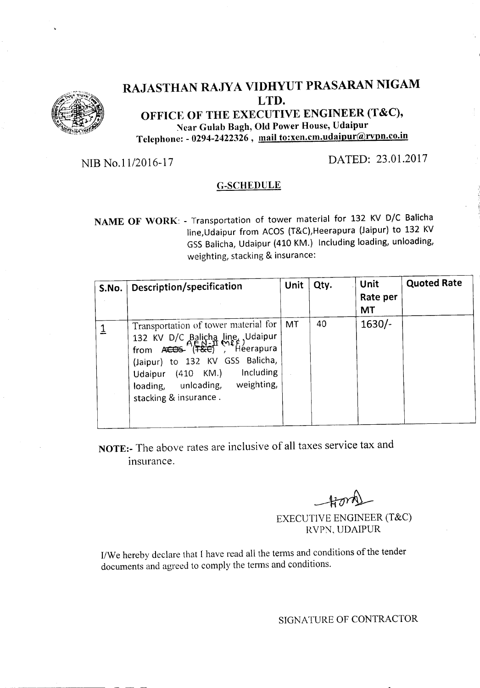

## RAJASTHAN RAJYA VIDHYUT PRASARAN NIGAM LTD.

OFFICE OF THE EXECUTIVE ENGINEER (T&C), Near Gulab Bagh, Old Power House, Udaipur Telephone: - 0294-2422326, mail to:xen.cm.udaipur@rvpn.co.in

## NIB No.11/2016-17 DATED: 23.01.2017

#### G-SCHEDULE

NAME OF WORK: - Transportation of tower material for 132 KV *D/C* Balicha line,Udaipur from ACOS (T&C),Heerapura (Jaipur) to 132 KV GSS Balicha, Udaipur (410 KM.) Including loading, unloading, weighting, stacking & insurance:

| S.No. | Description/specification                                                                                                                                                                                                                                                 | Unit | Qty. | Unit<br>Rate per<br>MT | <b>Quoted Rate</b> |
|-------|---------------------------------------------------------------------------------------------------------------------------------------------------------------------------------------------------------------------------------------------------------------------------|------|------|------------------------|--------------------|
|       | Transportation of tower material for<br>132 KV D/C Balicha line, Udaipur<br>(F&C)<br>Héerapura<br>from A <del>COS</del><br>to 132 KV GSS Balicha,<br>(Jaipur)<br><b>Including</b><br>$(410$ KM.)<br>Udaipur<br>weighting,<br>loading, unloading,<br>stacking & insurance. | MT   | 40   | $1630/-$               |                    |

NOTE:- The above rates are inclusive of all taxes service tax and insurance.

 $\text{H}\sigma\gamma\gamma$ 

EXECUTIVE ENGINEER (T&C) RVPN. UDAIPUR

I/We hereby declare that I have read all the terms and conditions of the tender documents and agreed to comply the terms and conditions.

SIGNATURE OF CONTRACTOR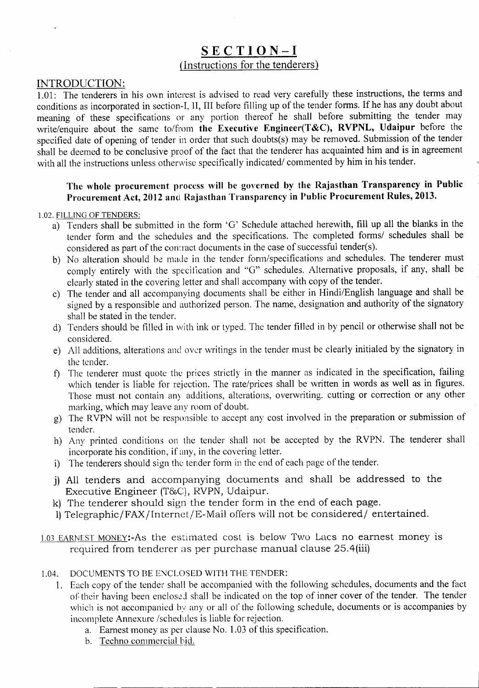## SECTION-I

## (Instructions for the tenderers)

#### INTRODUCTION:

l.01: The tenderers in his own interest is advised to read very carefully these instructions, the terms and conditions as incorporated in section-I, II, III before filling up of the tender forms. If he has any doubt about meaning of these specifications or any portion thereof he shall before submitting the tender may write/enquire about the same to/from the Executive Engineer(T&C), RVPNL, Udaipur before the specified date of opening of tender in order that such doubts(s) may be removed. Submission of the tender shall be deemed to be conclusive proof of the fact that the tenderer has acquainted him and is in agreement with all the instructions unless otherwise specifically indicated/ commented by him in his tender.

#### The whole procurement process will be governed by the Rajasthan Transparency in Public Procurement Act, 2012 and Rajasthan Transparency in Public Procurement Rules, 2013.

#### 1.02. FILLING OF TENDERS:

- a) Tenders shall be submitted in the form 'G' Schedule attached herewith, fill up all the blanks in the tender form and the schedules and the specifications. The completed forms/ schedules shall be considered as part of the contract documents in the case of successful tender(s).
- b) No alteration should be made in the tender form/specifications and schedules. The tenderer must comply entirely with the specification and "G" schedules. Alternative proposals, if any, shall be clearly stated in the covering letter and shall accompany with copy of the tender.
- c) The tender and all accompanying documents shall be either in Hindi/English language and shall be signed by a responsible and authorized person. The name, designation and authority of the signatory shall be stated in the tender.
- d) Tenders should be filled in with ink or typed. The tender filled in by pencil or otherwise shall not be considered.
- e) All additions, alterations and over writings in the tender must be clearly initialed by the signatory in the tender.
- f) The tenderer must quote the prices strictly in the manner as indicated in the specification, failing which tender is liable for rejection. The rate/prices shall be written in words as well as in figures. Those must not contain any additions, alterations, overwriting. cutting or correction or any other marking, which may leave any room of doubt.
- g) The RVPN will not be responsible to accept any cost involved in the preparation or submission of tender.
- h) Any printed conditions on the tender shall not be accepted by the RVPN. The tenderer shall incorporate his condition, if any, in the covering letter.
- i) The tenderers should sign the tender form in the end of each page of the tender.
- j) All tenders and accompanying documents and shall be addressed to the Executive Engineer (T&C), RVPN, Udaipur.
- k) The tenderer should sign the tender form in the end of each page.
- 1) Telegraphic/FAX/Internet/E-Mail offers will not be considered/entertained.
- 1.03 EARNEST MONEY:-As the estimated cost is below Two Lacs no earnest money is required from tenderer as per purchase manual clause 25.4(iii)
- 1.04. DOCUMENTS TO BE ENCLOSED WITH THE TENDER:
	- l. Each copy of the tender shall be accompanied with the following schedules, documents and the fact of their having been enclosed shall be indicated on the top of inner cover of the tender. The tender which is not accompanied by any or all of the following schedule, documents or is accompanies by incomplete Annexure /schedules is liable for rejection.
		- a. Earnest money as per clause No. 1.03 of this specification.
		- b. Techno commercial bid.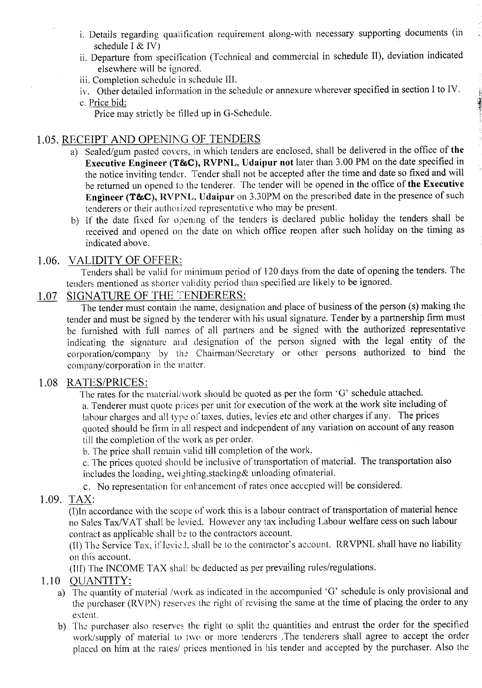- i. Details regarding qualification requirement along-with necessary supporting documents (in schedule I  $&$  IV)
- ii. Departure from specification (Technical and commercial in schedule II), deviation indicated elsewhere will be ignored.
- iii. Completion schedule in schedule III.
- iv. Other detailed information in the schedule or annexure wherever specified in section I to IV.

- c. Price bid:
	- Price may strictly be filled up in G-Schedule.

### 1.05. RECEIPT AND OPENING OF TENDERS

- a) Sealed/gum pasted covers, in which tenders are enclosed, shall be delivered in the office of the Executive Engineer (T&C), RVPNL, Udaipur not later than 3.00 PM on the date specified in the notice inviting tender. Tender shall not be accepted after the time and date so fixed and will be returned un opened to the tenderer. The tender will be opened in the office of the Executive Engineer (T&C), RVPNL, Udaipur on 3.30PM on the prescribed date in the presence of such tenderers or their authorized representative who may be present.
- b) If the date fixed for opening of the tenders is declared public holiday the tenders shall be received and opened on the date on which office reopen after such holiday on the timing as indicated above.

#### 1.06. VALIDITY OF OFFER:

Tenders shall be valid for minimum period of 120 days from the date of opening the tenders. The tenders mentioned as shorter validity period than specified are likely to be ignored.

#### 1.07 SIGNATURE OF THE TENDERERS:

The tender must contain the name, designation and place of business of the person (s) making the tender and must be signed by the tenderer with his usual signature. Tender by a partnership firm must be furnished with full names of all partners and be signed with the authorized representative indicating the signature and designation of the person signed with the legal entity of the corporation/company by the Chairman/Secretary or other persons authorized to bind the company/corporation in the matter.

#### 1.08 RATES/PRICES:

The rates for the material/work should be quoted as per the form 'G' schedule attached. a. Tenderer must quote prices per unit for execution of the work at the work site including of labour charges and all type of taxes, duties, levies etc and other charges if any. The prices quoted should be firm in all respect and independent of any variation on account of any reason till the completion of the work as per order.

b. The price shall remain valid till completion of the work.

c. The prices quoted should be inclusive of transportation of material. The transportation also includes the loading, weighting, stacking & unloading of material.

c. No representation for enhancement of rates once accepted will be considered.

### 1.09. TAX:

(I)ln accordance with the scope of work this is a labour contract of transportation of material hence no Sales *TaxN* AT shall be levied. However any tax including Labour welfare cess on such labour contract as applicable shall be to the contractors account.

(II) The Service Tax, if levie 1, shall be to the contractor's account. RRVPNL shall have no liability on this account.

(III) The INCOME TAX shall be deducted as per prevailing rules/regulations.

### 1.10 QUANTITY:

- a) The quantity of material /work as indicated in the accompanied 'G' schedule is only provisional and the purchaser (RVPN) reserves the right of revising the same at the time of placing the order to any extent.
- b) The purchaser also reserves the right to split the quantities and entrust the order for the specified work/supply of material to two or more tenderers .The tenderers shall agree to accept the order placed on him at the rates/ prices mentioned in his tender and accepted by the purchaser. Also the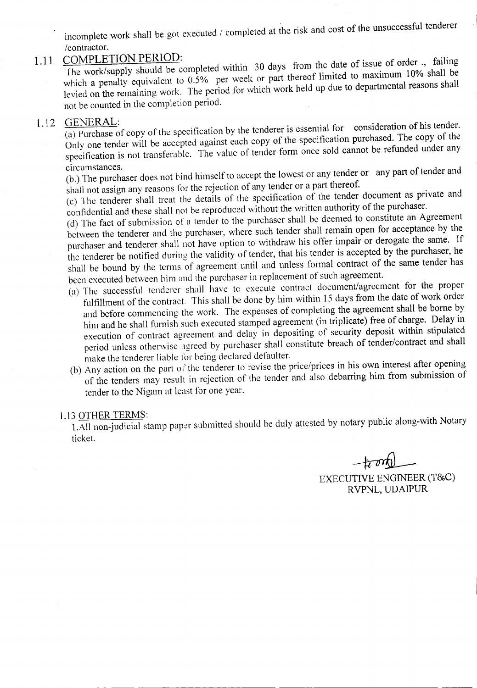incomplete work shall be got executed / completed at the risk and cost of the unsuccessful tenderer /contractor.

### 1.11 COMPLETION PERIOD:

The work/supply should be completed within 30 days from the date of issue of order., failing which a penalty equivalent to 0.5% per week or part thereof limited to maximum 10% shall be levied on the remaining work. The period for which work held up due to departmental reasons shall not be counted in the completion period.

1.12  $\frac{\text{GENERAL}}{(\text{a}) \text{ Purchase of conv of the specification by the tendency is essential for } \text{consideration of his tendency.}$ Only one tender will be accepted against each copy of the specification purchased. The copy of the specification is not transferable. The value of tender form once sold cannot be refunded under any circumstances.

 $(b)$ . The purchaser does not bind himself to accept the lowest or any tender or any part of tender and shall not assign any reasons for the rejection of any tender or a part thereof.

(c) The tenderer shall treat the details of the specification of the tender document as private and confidential and these shall not be reproduced without the written authority of the purchaser.

(d) The fact of submission of a tender to the purchaser shall be deemed to constitute an Agreement between the tenderer and the purchaser, where such tender shall remain open for acceptance by the purchaser and tenderer shall not have option to withdraw his offer impair or derogate the same. If the tenderer be notified during the validity of tender, that his tender is accepted by the purchaser, he shall be bound by the terms of agreement until and unless formal contract of the same tender has been executed between him and the purchaser in replacement of such agreement.

- (a) The successful tenderer shall have to execute contract document/agreement for the proper fulfillment of the contract. This shall be done by him within 15 days from the date of work order and before commencing the work. The expenses of completing the agreement shall be borne by him and he shall furnish such executed stamped agreement (in triplicate) free of charge. Delay in execution of contract agreement and delay in depositing of security deposit within stipulated period unless otherwise agreed by purchaser shall constitute breach of tender/contract and shall make the tenderer liable for being declared defaulter.
- (b) Any action on the part of the tenderer to revise the price/prices in his own interest after opening of the tenders may result in rejection of the tender and also debarring him from submission of tender to the Nigam at least for one year.

#### 1.13 OTHER TERMS:

l.All non-judicial stamp paper submitted should be duly attested by notary public along-with Notary ticket.

.- ---------------------------- ---------------------------- -----

~

EXECUTIVE ENGINEER (T&C) RVPNL, UDAIPUR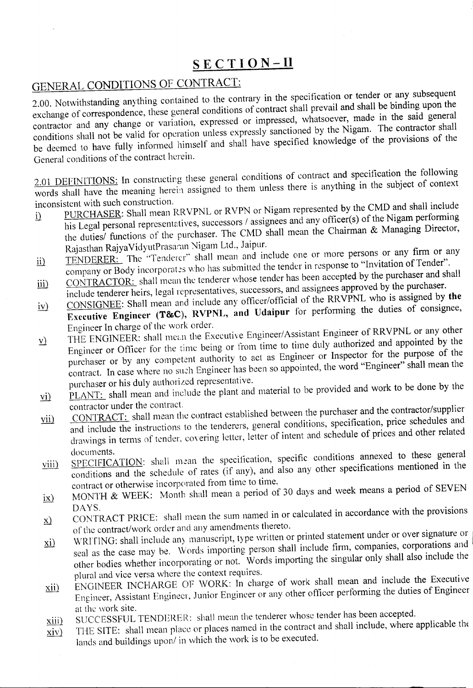## $S E C T I O N - H$

## GENERAL CONDITIONS OF CONTRACT:

2.00. Notwithstanding anything contained to the contrary in the specification or tender or any subsequent exchange of correspondence, these general conditions of contract shall prevail and shall be binding upon the contractor and any change or variation, expressed or impressed, whatsoever, made in the said general conditions shall not be valid for operation unless expressly sanctioned by the Nigam. The contractor shall be deemed to have fully informed himself and shall have specified knowledge of the provisions of the General conditions of the contract herein.

2.01 DEFINITIONS: In constructing these general conditions of contract and specification the following words shall have the meaning herein assigned to them unless there is anything in the subject of context

- inconsistent with such construction.<br>i) PURCHASER: Shall mean RRVPNL or RVPN or Nigam represented by the CMD and shall include<br>the CMD and shall include his Legal personal representatives, successors / assignees and any officer(s) of the Nigam performing the duties/ functions of the purchaser. The CMD shall mean the Chairman & Managing Director, Rajasthan Rajya VidyutPrasamn Nigam Ltd., Jaipur.
- ii) TENDERER: The "Tenderer" shall mean and include one or more persons or any firm or any company or Body incorporates who has submitted the tender in response to "Invitation of Tender".
- iii) CONTRACTOR: shall mean the tenderer whose tender has been accepted by the purchaser and shall include tenderer heirs, legal representatives, successors, and assignees approved by the purchaser.
- iv) CONSIGNEE: Shall mean and include any officer/official of the RRVPNL who is assigned by the Executive Engineer (T&C), RVPNL, and Udaipur for performing the duties of consignee, Engineer In charge of the work order.
- y) THE ENGINEER: shall mean the Executive Engineer/Assistant Engineer of RRVPNL or any other Engineer or Officer for the time being or from time to time duly authorized and appointed by the purchaser or by any competent authority to act as Engineer or Inspector for the purpose of the contract. In case where no such Engineer has been so appointed, the word "Engineer" shall mean the purchaser or his duly authorized representative.
- vi) PLANT: shall mean and include the plant and material to be provided and work to be done by the contractor under the contract.
- vii) CONTRACT: shall mean the contract established between the purchaser and the contractor/supplier<br>contractor is the contract established between the purchaser and the contractor/supplier and include the instructions to the tenderers, general conditions, specification, price schedules and drawings in terms of tender. covering letter, letter of intent and schedule of prices and other related
- documents.  $vii)$  SPECIFICATION: shall mean the specification, specific conditions annexed to these general conditions and the schedule of rates (if any), and also any other specifications mentioned in the contract or otherwise incorporated from time to time.
- ix) MONTH & WEEK: Month shall mean a period of 30 days and week means a period of SEVEN
- DAYS.<br>
2U CONTRACT PRICE: shall mean the sum named in or calculated in accordance with the provisions of the contract/work order and any amendments thereto.
- ill WRITING: shall include any manuscript, type written or printed statement under or over signature or VRITING: shall include any manuscript, type written or printed statement under or over signature or
- seal as the case may be. Words importing person shall include firm, companies, corporations and other bodies whether incorporating or not. Words importing the singular only shall also include the plural and vice versa where the context requires.
- xii) ENGINEER INCHARGE OF WORK: In charge of work shall mean and include the Executive Engineer, Assistant Engineer, Junior Engineer or any other officer performing the duties of Engineer at the work site.
- xiii) SUCCESSFUL TENDERER: shall mean the tenderer whose tender has been accepted.
- $\frac{x_{\text{iii}}}{x_{\text{iv}}}$  SUCCESSFUL TENDERER: shall mean the tenderer whose tender has been decepted.<br> $\frac{x_{\text{iv}}}{x_{\text{iv}}}$  THE SITE: shall mean place or places named in the contract and shall include, where applicable the lands and buildings upon/ in which the work is to be executed.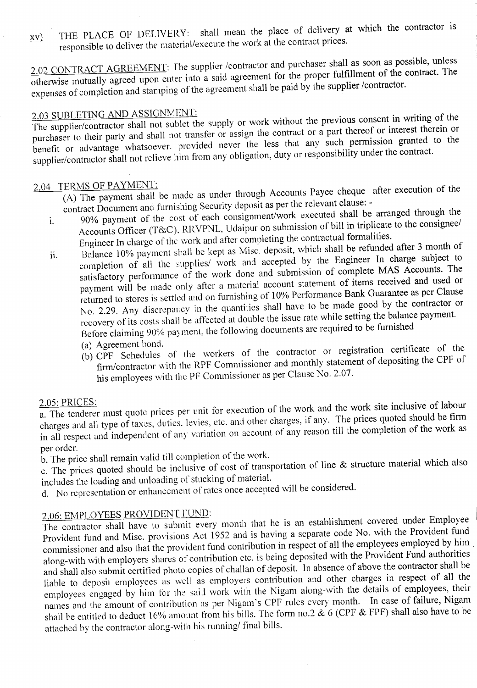$xv$  THE PLACE OF DELIVERY: shall mean the place of delivery at which the contractor is responsible to deliver the material/execute the work at the contract prices.

2.02 CONTRACT AGREEMENT: The supplier /contractor and purchaser shall as soon as possible, unless otherwise mutually agreed upon enter into a said agreement for the proper fulfillment of the contract. The expenses of completion and stamping of the agreement shall be paid by the supplier /contractor.

## 2.03 SUBLETING AND ASSIGNMENT:

The supplier/contractor shall not sublet the supply or work without the previous consent in writing of the purchaser to their party and shall not transfer or assign the contract or a part thereof or interest therein or benefit or advantage whatsoever. provided never the less that any such permission granted to the supplier/contractor shall not relieve him from any obligation, duty or responsibility under the contract.

### 2.04 TERMS OF PAYMENT:

- (A) The payment shall be made as under through Accounts Payee cheque after execution of the contract Document and furnishing Security deposit as per the relevant clause: -
- 1. 90% payment of the cost of each consignment/work executed shall be arranged through the Accounts Officer (T&C). RRVPNL, Udaipur on submission of bill in triplicate to the consignee/ Engineer In charge 0f the work and after completing the contractual formalities.
- ii. Balance 10% payment shall be kept as Misc. deposit, which shall be refunded after 3 month of completion of all the supplies/ work and accepted by the Engineer In charge subject to satisfactory performance of the work done and submission of complete MAS Accounts. The payment will be made only after a material account statement of items received and used or returned to stores is settled and on furnishing of 10% Performance Bank Guarantee as per Clause No. 2.29. Any discrepancy in the quantities shall have to be made good by the contractor or recovery of its costs shall be affected at double the issue rate while setting the balance payment. Before claiming 90% pa; ment, the following documents are required to be furnished
	- (a) Agreement bond.
	- (b) CPF Schedules of the workers of the contractor or registration certificate of the firm/contractor with the RPF Commissioner and monthly statement of depositing the CPF of his employees with the PF Commissioner as per Clause No. 2.07.

#### <u> 2.05: PRICES</u>

a. The tenderer must quote prices per unit for execution of the work and the work site inclusive of labour charges and all type of taxes, duties. levies, etc. and other charges, if any. The prices quoted should be firm in all respect and independent of any variation on account of any reason till the completion of the work as per order.

b. The price shall remain valid till completion of the work.

c. The prices quoted should be inclusive of cost of transportation of line & structure material which also includes the loading and unloading of stucking of material.

d. No representation or enhancement of rates once accepted will be considered.

## 2.06: EMPLOYEES PROVIDENT FUND:

The contractor shall have to submit every month that he is an establishment covered under Employee Provident fund and Misc. provisions Act 1952 and is having a separate code No. with the Provident fund commissioner and also that the provident fund contribution in respect of all the employees employed by him. along-with with employers shares of contribution etc. is being deposited with the Provident Fund authorities and shall also submit certified photo copies of challan of deposit. In absence of above the contractor shall be liable to deposit employees as well as employers contribution and other charges in respect of all the employees engaged by him for the said work with the Nigam along-with the details of employees, their names and the amount of contribution as per Nigam's CPF rules every month. In case of failure, Nigam shall be entitled to deduct 16% amount from his bills. The form no.2  $\&$  6 (CPF  $\&$  FPF) shall also have to be attached by the contractor along-with his running/ final bills.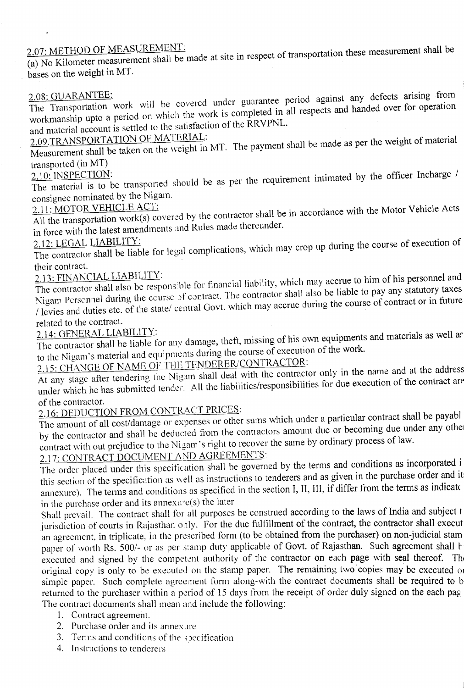## 2.07: METHOD OF MEASUREMENT:

(a) No Kilometer measurement shall be made at site in respect of transportation these measurement shall be bases on the weight in MT.

The Transportation work will be covered under guarantee period against any defects arising from workmanship upto a period on which the work is completed in all respects and handed over for operation and material account is settled to the satisfaction of the RRVPNL.

2.09.TRANSPORTATION OF MATERIAL:

Measurement shall be taken on the weight in MT. The payment shall be made as per the weight of material transported (in MT)

The material is to be transported should be as per the requirement intimated by the officer Incharge / consignee nominated by the Nigam.

## 2.11: MOTOR VEHICLE ACT:

All the transportation work(s) covered by the contractor shall be in accordance with the Motor Vehicle Acts in force with the latest amendments and Rules made thereunder.

2.12: LEGAL LIABILITY:

The contractor shall be liable for legal complications, which may crop up during the course of execution of their contract.

2.13: FINANCIAL LIABILITY:

The contractor shall also be responsible for financial liability, which may accrue to him of his personnel and Nigam Personnel during the course of contract. The contractor shall also be liable to pay any statutory taxes / levies and duties etc. of the state/ central Govt. which may accrue during the course of contract or in future

related to the contract.<br>2.14: GENERAL LIABILITY: 2.14: GENERAL LIABILITY

 $\frac{1}{2}$ . The contractor shall be liable for any damage, theft, missing of his own equipments and materials as well are to the Nigam's material and equipments during the course of execution of the work.

2.15: CHANGE OF NAME OF THE TENDERER/CONTRACTOR:

At any stage after tendering the Nigam shall deal with the contractor only in the name and at the address under which he has submitted tender. All the liabilities/responsibilities for due execution of the contract are of the contractor.

## 2.16: DEDUCTION FROM CONTRACT PRICES:

The amount of all cost/damage or expenses or other sums which under a particular contract shall be payabl by the contractor and shall be deducted from the contractors amount due or becoming due under any othei contract with out prejudice to the Nigam's right to recover the same by ordinary process of law.

2.17: CONTRACT DOCUMENT AND AGREEMENTS:

The order placed under this specification shall be governed by the terms and conditions as incorporated i this section of the specification as well as instructions to tenderers and as given in the purchase order and it annexure). The terms and conditions as specified in the section I, II, III, if differ from the terms as indicate in the purchase order and its annexure(s) the later

Shall prevail. The contract shall for all purposes be construed according to the laws of India and subject the contractor shall executed in the contractor shall executed in the contractor shall executed in the contractor s jurisdiction of courts in Rajasthan only. For the due fulfillment of the contract, the contractor shall execut an agreement, in triplicate, in the prescribed form (to be obtained from the purchaser) on non-judicial stam paper of worth Rs. 500/- or as per stamp duty applicable of Govt. of Rajasthan. Such agreement shall b  $\epsilon$  is determined to the contract of the contractor on each **nage with sell thereof**. The executed and signed by the competent authority of the contractor on each page with seal thereof. The original copy is only to be executed on the stamp paper. The remaining two copies may be executed or simple paper. Such complete agreement form along-with the contract documents shall be required to b returned to the purchaser within a period of 15 days from the receipt of order duly signed on the each pag The contract documents shall mean and include the following:

- 1. Contract agreement.
- 2. Purchase order and its annexure
- 3. Terms and conditions of the specification
- 4. Instructions to tenderers.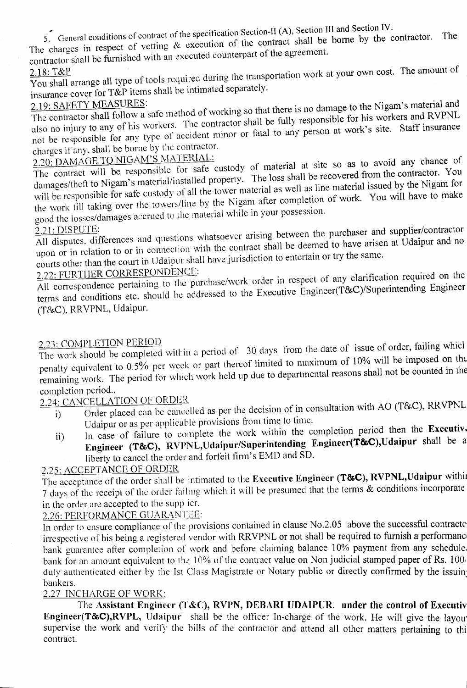5. General conditions of contract of the specification Section-II (A), Section III and Section IV.

The charges in respect of vetting  $\&$  execution of the contract shall be borne by the contractor. The contractor shall be furnished with an executed counterpart of the agreement.

You shall arrange all type of tools required during the transportation work at your own cost. The amount of insurance cover for T&P items shall be intimated separately.

The contractor shall follow a safe method of working so that there is no damage to the Nigam's material and also no injury to any of his workers. The contractor shall be fully responsible for his workers and RVPNL not be responsible for any type of accident minor or fatal to any person at work's site. Staff insurance charges if any, shall be borne by the contractor.

## 2.20: DAMAGE TO NIGAM'S MATERIAL:

The contract will be responsible for safe custody of material at site so as to avoid any chance of damages/theft to Nigam's material/installed property. The loss shall be recovered from the contractor. You will be responsible for safe custody of all the tower material as well as line material issued by the Nigam for the work till taking over the towers/line by the Nigam after completion of work. You will have to make good the losses/damages accrued to the material while in your possession.

All disputes, differences and questions whatsoever arising between the purchaser and supplier/contractor upon or in relation to or in connection with the contract shall be deemed to have arisen at Udaipur and no courts other than the court in Udaipur shall have jurisdiction to entertain or try the same.

## 2.22: FURTHER CORRESPONDENCE:

All correspondence pertaining to the purchase/work order in respect of any clarification required on the terms and conditions etc. should be addressed to the Executive Engineer(T&C)/Superintending Engineer (T&C), RRVPNL, Udaipur.

## 2.23: COMPLETION PERIOD

The work should be completed within a period of 30 days from the date of issue of order, failing whicl penalty equivalent to 0.5% per week or part thereof limited to maximum of 10% will be imposed on the remaining work. The period for which work held up due to departmental reasons shall not be counted in the completion period..

## 2.24: CANCELLATION OF ORDER

- i) Order placed can be cancelled as per the decision of in consultation with AO (T&C), RRVPNL Udaipur or as per applicable provisions from time to time.
- ii) In case of failure to complete the work within the completion period then the Executiv-~ngineer **(T&C), RVPNL,UdaipurlSuperintending Engineer(T&C),Udaipur** shall be a liberty to cancel the order and forfeit firm's EMD and SD.

### 2.25: ACCEPTANCE OF ORDER

The acceptance of the order shall be intimated to the Executive Engineer (T&C), RVPNL,Udaipur withir 7 days of the receipt of the order failing which it will be presumed that the terms & conditions incorporate in the order are accepted to the supp ier.

### 2.26: PERFORMANCE GUARANTEE:

In order to ensure compliance of the provisions contained in clause No.2.05 above the successful contracte irrespective of his being a registered vendor with RRVPNL or not shall be required to furnish a performanc bank guarantee after completion of work and before claiming balance 10% payment from any schedule. bank for an amount equivalent to the 10% of the contract value on Non judicial stamped paper of Rs. 100/ duly authenticated either by the Ist Class Magistrate or Notary public or directly confirmed by the issuin bankers.

#### 2.27 INCHARGE OF WORK:

The Assistant Engineer (T&C), RVPN, DEBARI UDAIPUR. under the control of Executiv **Engineer(T&C), RVPL, Udaipur** shall be the officer In-charge of the work. He will give the layor **Engineer(T&C), RVPL**, Udaipur shall be the officer In-charge of the work. He will give the layor Engineer (1 WO), KVTE, Outiful share of the ontractor in-enarge of the work. The win give the layou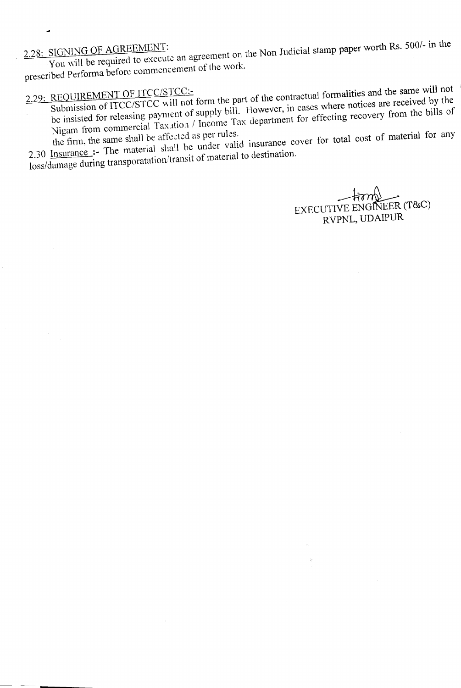**2.28: SIGNING** You will **OF AGREEMENT:** be required to execute an agreement on the Non Judicial stamp paper worth Rs, *500/-* inthe

**prescribed Performa before commencement of the work.**

2.29: REQUIREMENT OF **ltcc/stcc.**<br>CIEC/STCC will not form the part of the contractual formalities and the same will not  $\mu$  begins payment of supply bill. However, in cases where notices are received by the bills of Nigam from commercial Taxation / Income Tax department for effecting recovery from the bills of Nigam from commercial Taxation / Income Tax department for effecting recovery from the bills of

**the firm, the same shall be affected as per rules.**  $\alpha$  Insurance  $\alpha$  The material shall be under valid insurance cover for total cost of material shall be under valid insurance cover for total cost of material shall loss/damage during transporatation/transit of material to destination.

 $+ \eta \eta$ EXECUTIVE ENGINEER (T&C) **RVPNL, UDAIPUR**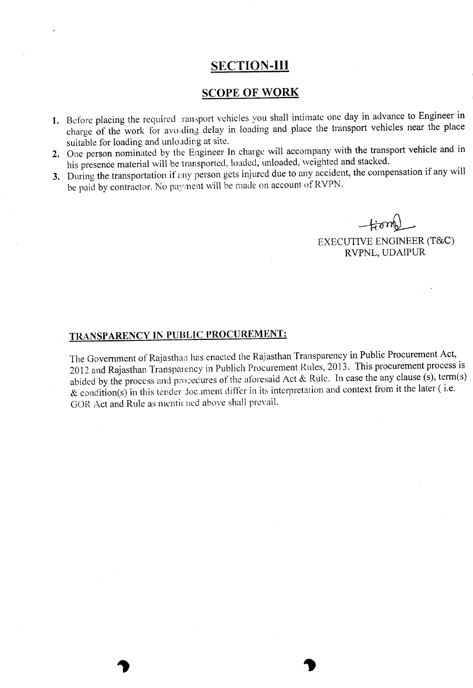### **SECTION -III**

#### **SCOPE OF WORK**

- 1. Before placing the required .ransport vehicles you shall intimate one day in advance to Engineer in charge of the work for avoiding delay in loading and place the transport vehicles near the place suitable for loading and unloading at site.
- 2. One person nominated by the Engineer In charge will accompany with the transport vehicle and in his presence material will be transported, loaded, unloaded, weighted and stacked.
- 3. During the transportation if any person gets injured due to any accident, the compensation if any will be paid by contractor. No payment will be made on account of RVPN.

 $-$ tionh

EXECUTIVE ENGINEER (T&C) RVPNL, UDAIPUR

#### **TRANSPARENCY IN PUBLIC PROCUREMENT:**

The Government of Rajasthan has enacted the Rajasthan Transparency in Public Procurement Act, 2012 and Rajasthan Transparency in Publich Procurement Rules, 2013. This procurement process is abided by the process and procedures of the aforesaid Act & Rule. In case the any clause (s), term(s)  $&$  condition(s) in this tender document differ in its interpretation and context from it the later (i.e. GOR Act and Rule as mentioned above shall prevail.